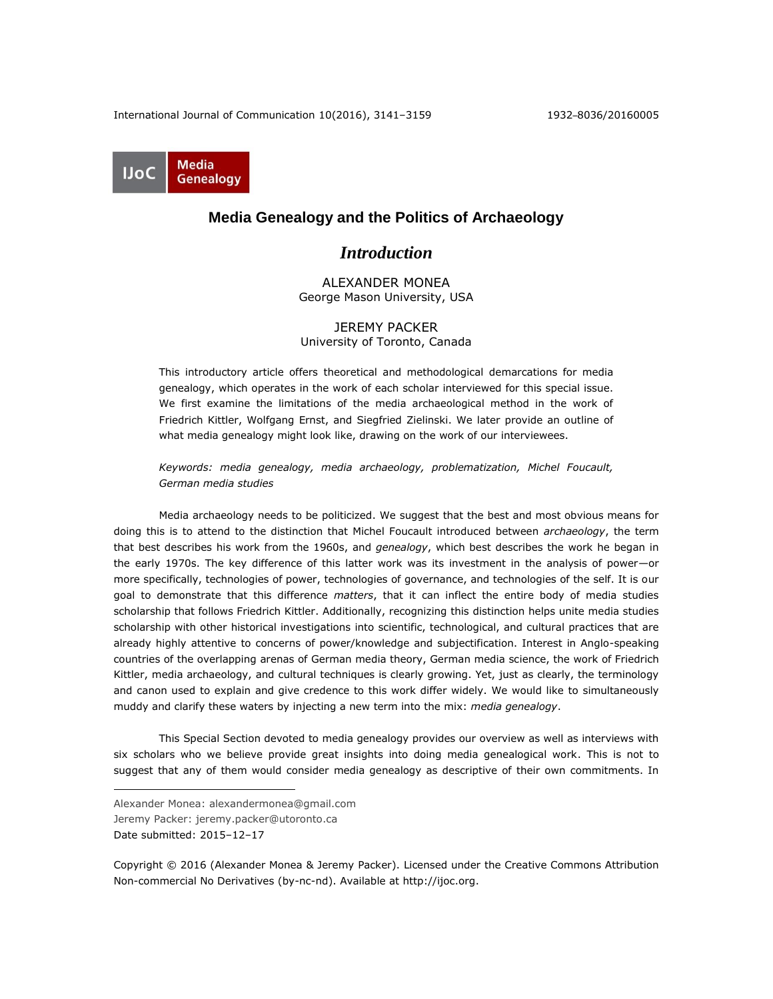International Journal of Communication 10(2016), 3141–3159 1932–8036/20160005



## **Media Genealogy and the Politics of Archaeology**

# *Introduction*

ALEXANDER MONEA George Mason University, USA

## JEREMY PACKER University of Toronto, Canada

This introductory article offers theoretical and methodological demarcations for media genealogy, which operates in the work of each scholar interviewed for this special issue. We first examine the limitations of the media archaeological method in the work of Friedrich Kittler, Wolfgang Ernst, and Siegfried Zielinski. We later provide an outline of what media genealogy might look like, drawing on the work of our interviewees.

*Keywords: media genealogy, media archaeology, problematization, Michel Foucault, German media studies*

Media archaeology needs to be politicized. We suggest that the best and most obvious means for doing this is to attend to the distinction that Michel Foucault introduced between *archaeology*, the term that best describes his work from the 1960s, and *genealogy*, which best describes the work he began in the early 1970s. The key difference of this latter work was its investment in the analysis of power—or more specifically, technologies of power, technologies of governance, and technologies of the self. It is our goal to demonstrate that this difference *matters*, that it can inflect the entire body of media studies scholarship that follows Friedrich Kittler. Additionally, recognizing this distinction helps unite media studies scholarship with other historical investigations into scientific, technological, and cultural practices that are already highly attentive to concerns of power/knowledge and subjectification. Interest in Anglo-speaking countries of the overlapping arenas of German media theory, German media science, the work of Friedrich Kittler, media archaeology, and cultural techniques is clearly growing. Yet, just as clearly, the terminology and canon used to explain and give credence to this work differ widely. We would like to simultaneously muddy and clarify these waters by injecting a new term into the mix: *media genealogy*.

This Special Section devoted to media genealogy provides our overview as well as interviews with six scholars who we believe provide great insights into doing media genealogical work. This is not to suggest that any of them would consider media genealogy as descriptive of their own commitments. In

Jeremy Packer: jeremy.packer@utoronto.ca

Date submitted: 2015–12–17

 $\overline{a}$ 

Copyright © 2016 (Alexander Monea & Jeremy Packer). Licensed under the Creative Commons Attribution Non-commercial No Derivatives (by-nc-nd). Available at [http://ijoc.org.](http://ijoc.org/)

Alexander Monea: alexandermonea@gmail.com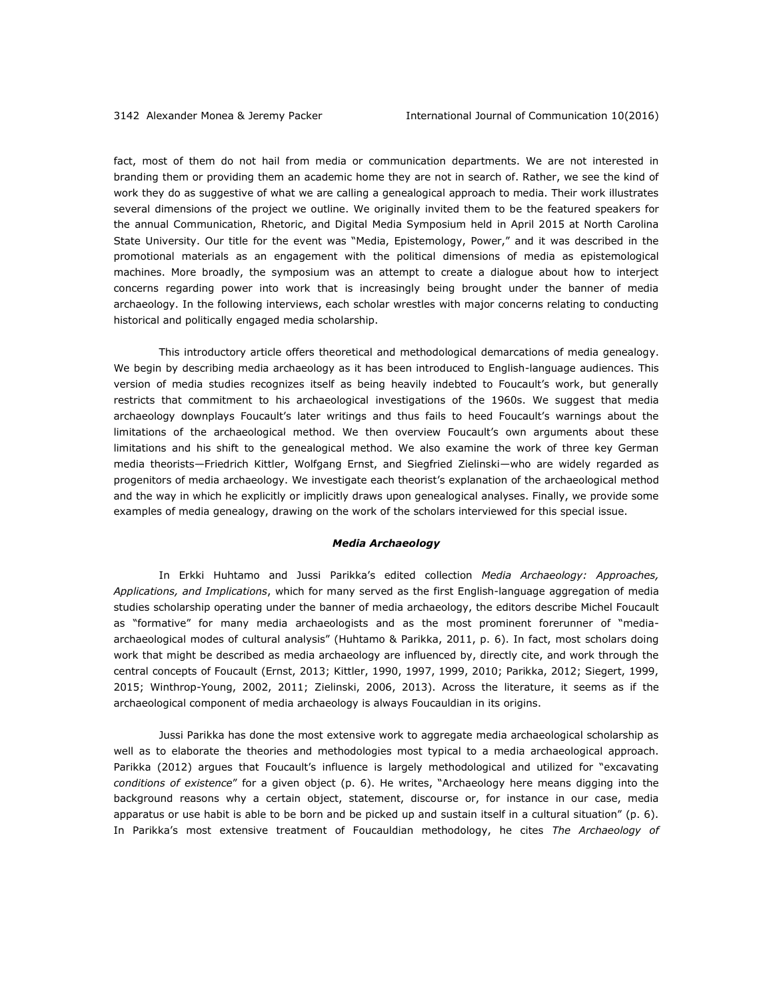fact, most of them do not hail from media or communication departments. We are not interested in branding them or providing them an academic home they are not in search of. Rather, we see the kind of work they do as suggestive of what we are calling a genealogical approach to media. Their work illustrates several dimensions of the project we outline. We originally invited them to be the featured speakers for the annual Communication, Rhetoric, and Digital Media Symposium held in April 2015 at North Carolina State University. Our title for the event was "Media, Epistemology, Power," and it was described in the promotional materials as an engagement with the political dimensions of media as epistemological machines. More broadly, the symposium was an attempt to create a dialogue about how to interject concerns regarding power into work that is increasingly being brought under the banner of media archaeology. In the following interviews, each scholar wrestles with major concerns relating to conducting historical and politically engaged media scholarship.

This introductory article offers theoretical and methodological demarcations of media genealogy. We begin by describing media archaeology as it has been introduced to English-language audiences. This version of media studies recognizes itself as being heavily indebted to Foucault's work, but generally restricts that commitment to his archaeological investigations of the 1960s. We suggest that media archaeology downplays Foucault's later writings and thus fails to heed Foucault's warnings about the limitations of the archaeological method. We then overview Foucault's own arguments about these limitations and his shift to the genealogical method. We also examine the work of three key German media theorists—Friedrich Kittler, Wolfgang Ernst, and Siegfried Zielinski—who are widely regarded as progenitors of media archaeology. We investigate each theorist's explanation of the archaeological method and the way in which he explicitly or implicitly draws upon genealogical analyses. Finally, we provide some examples of media genealogy, drawing on the work of the scholars interviewed for this special issue.

#### *Media Archaeology*

In Erkki Huhtamo and Jussi Parikka's edited collection *Media Archaeology: Approaches, Applications, and Implications*, which for many served as the first English-language aggregation of media studies scholarship operating under the banner of media archaeology, the editors describe Michel Foucault as "formative" for many media archaeologists and as the most prominent forerunner of "mediaarchaeological modes of cultural analysis" (Huhtamo & Parikka, 2011, p. 6). In fact, most scholars doing work that might be described as media archaeology are influenced by, directly cite, and work through the central concepts of Foucault (Ernst, 2013; Kittler, 1990, 1997, 1999, 2010; Parikka, 2012; Siegert, 1999, 2015; Winthrop-Young, 2002, 2011; Zielinski, 2006, 2013). Across the literature, it seems as if the archaeological component of media archaeology is always Foucauldian in its origins.

Jussi Parikka has done the most extensive work to aggregate media archaeological scholarship as well as to elaborate the theories and methodologies most typical to a media archaeological approach. Parikka (2012) argues that Foucault's influence is largely methodological and utilized for "excavating *conditions of existence*" for a given object (p. 6). He writes, "Archaeology here means digging into the background reasons why a certain object, statement, discourse or, for instance in our case, media apparatus or use habit is able to be born and be picked up and sustain itself in a cultural situation" (p. 6). In Parikka's most extensive treatment of Foucauldian methodology, he cites *The Archaeology of*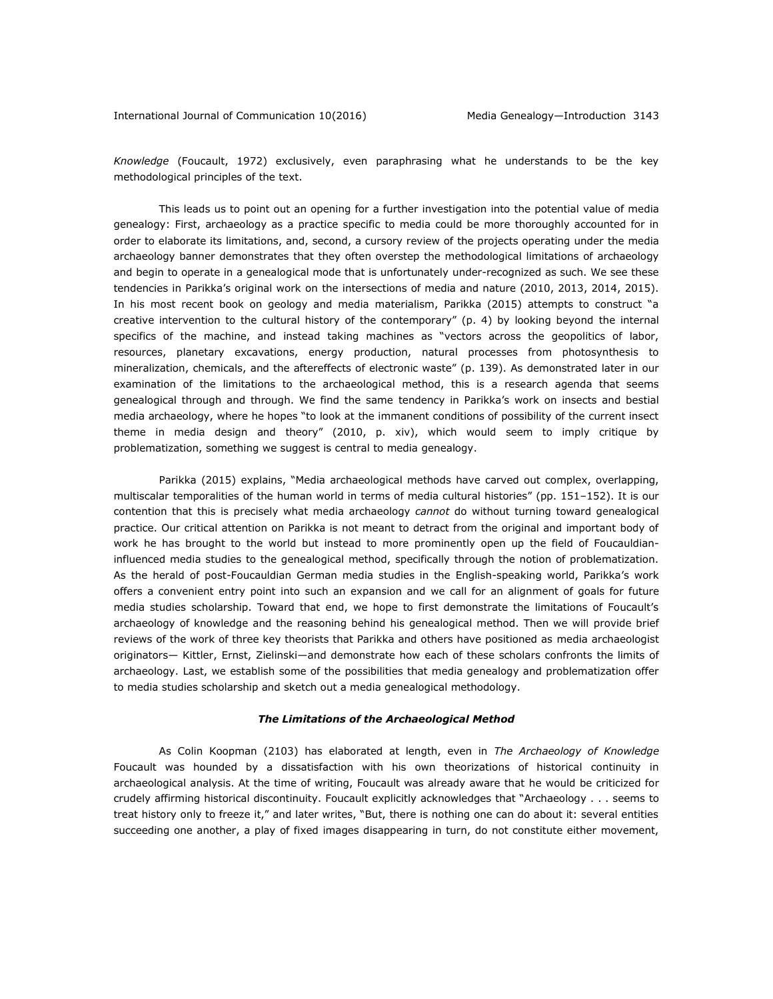*Knowledge* (Foucault, 1972) exclusively, even paraphrasing what he understands to be the key methodological principles of the text.

This leads us to point out an opening for a further investigation into the potential value of media genealogy: First, archaeology as a practice specific to media could be more thoroughly accounted for in order to elaborate its limitations, and, second, a cursory review of the projects operating under the media archaeology banner demonstrates that they often overstep the methodological limitations of archaeology and begin to operate in a genealogical mode that is unfortunately under-recognized as such. We see these tendencies in Parikka's original work on the intersections of media and nature (2010, 2013, 2014, 2015). In his most recent book on geology and media materialism, Parikka (2015) attempts to construct "a creative intervention to the cultural history of the contemporary" (p. 4) by looking beyond the internal specifics of the machine, and instead taking machines as "vectors across the geopolitics of labor, resources, planetary excavations, energy production, natural processes from photosynthesis to mineralization, chemicals, and the aftereffects of electronic waste" (p. 139). As demonstrated later in our examination of the limitations to the archaeological method, this is a research agenda that seems genealogical through and through. We find the same tendency in Parikka's work on insects and bestial media archaeology, where he hopes "to look at the immanent conditions of possibility of the current insect theme in media design and theory" (2010, p. xiv), which would seem to imply critique by problematization, something we suggest is central to media genealogy.

Parikka (2015) explains, "Media archaeological methods have carved out complex, overlapping, multiscalar temporalities of the human world in terms of media cultural histories" (pp. 151–152). It is our contention that this is precisely what media archaeology *cannot* do without turning toward genealogical practice. Our critical attention on Parikka is not meant to detract from the original and important body of work he has brought to the world but instead to more prominently open up the field of Foucauldianinfluenced media studies to the genealogical method, specifically through the notion of problematization. As the herald of post-Foucauldian German media studies in the English-speaking world, Parikka's work offers a convenient entry point into such an expansion and we call for an alignment of goals for future media studies scholarship. Toward that end, we hope to first demonstrate the limitations of Foucault's archaeology of knowledge and the reasoning behind his genealogical method. Then we will provide brief reviews of the work of three key theorists that Parikka and others have positioned as media archaeologist originators— Kittler, Ernst, Zielinski—and demonstrate how each of these scholars confronts the limits of archaeology. Last, we establish some of the possibilities that media genealogy and problematization offer to media studies scholarship and sketch out a media genealogical methodology.

#### *The Limitations of the Archaeological Method*

As Colin Koopman (2103) has elaborated at length, even in *The Archaeology of Knowledge* Foucault was hounded by a dissatisfaction with his own theorizations of historical continuity in archaeological analysis. At the time of writing, Foucault was already aware that he would be criticized for crudely affirming historical discontinuity. Foucault explicitly acknowledges that "Archaeology . . . seems to treat history only to freeze it," and later writes, "But, there is nothing one can do about it: several entities succeeding one another, a play of fixed images disappearing in turn, do not constitute either movement,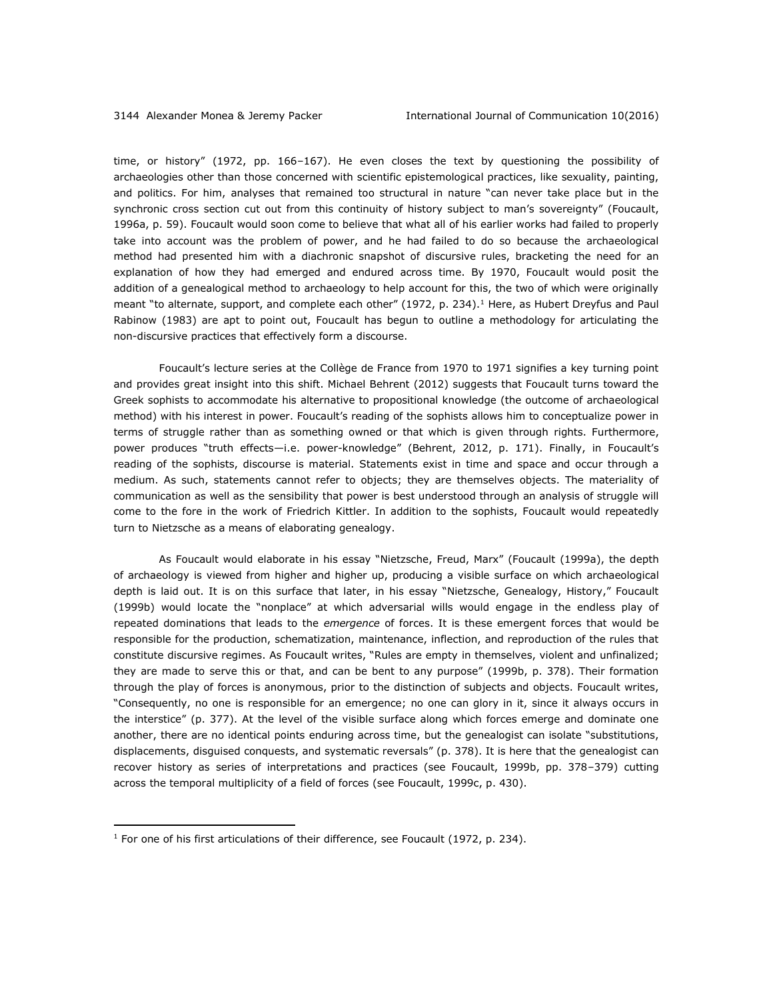time, or history" (1972, pp. 166–167). He even closes the text by questioning the possibility of archaeologies other than those concerned with scientific epistemological practices, like sexuality, painting, and politics. For him, analyses that remained too structural in nature "can never take place but in the synchronic cross section cut out from this continuity of history subject to man's sovereignty" (Foucault, 1996a, p. 59). Foucault would soon come to believe that what all of his earlier works had failed to properly take into account was the problem of power, and he had failed to do so because the archaeological method had presented him with a diachronic snapshot of discursive rules, bracketing the need for an explanation of how they had emerged and endured across time. By 1970, Foucault would posit the addition of a genealogical method to archaeology to help account for this, the two of which were originally meant "to alternate, support, and complete each other" (1972, p. 234).<sup>1</sup> Here, as Hubert Dreyfus and Paul Rabinow (1983) are apt to point out, Foucault has begun to outline a methodology for articulating the non-discursive practices that effectively form a discourse.

Foucault's lecture series at the Collège de France from 1970 to 1971 signifies a key turning point and provides great insight into this shift. Michael Behrent (2012) suggests that Foucault turns toward the Greek sophists to accommodate his alternative to propositional knowledge (the outcome of archaeological method) with his interest in power. Foucault's reading of the sophists allows him to conceptualize power in terms of struggle rather than as something owned or that which is given through rights. Furthermore, power produces "truth effects—i.e. power-knowledge" (Behrent, 2012, p. 171). Finally, in Foucault's reading of the sophists, discourse is material. Statements exist in time and space and occur through a medium. As such, statements cannot refer to objects; they are themselves objects. The materiality of communication as well as the sensibility that power is best understood through an analysis of struggle will come to the fore in the work of Friedrich Kittler. In addition to the sophists, Foucault would repeatedly turn to Nietzsche as a means of elaborating genealogy.

As Foucault would elaborate in his essay "Nietzsche, Freud, Marx" (Foucault (1999a), the depth of archaeology is viewed from higher and higher up, producing a visible surface on which archaeological depth is laid out. It is on this surface that later, in his essay "Nietzsche, Genealogy, History," Foucault (1999b) would locate the "nonplace" at which adversarial wills would engage in the endless play of repeated dominations that leads to the *emergence* of forces. It is these emergent forces that would be responsible for the production, schematization, maintenance, inflection, and reproduction of the rules that constitute discursive regimes. As Foucault writes, "Rules are empty in themselves, violent and unfinalized; they are made to serve this or that, and can be bent to any purpose" (1999b, p. 378). Their formation through the play of forces is anonymous, prior to the distinction of subjects and objects. Foucault writes, "Consequently, no one is responsible for an emergence; no one can glory in it, since it always occurs in the interstice" (p. 377). At the level of the visible surface along which forces emerge and dominate one another, there are no identical points enduring across time, but the genealogist can isolate "substitutions, displacements, disguised conquests, and systematic reversals" (p. 378). It is here that the genealogist can recover history as series of interpretations and practices (see Foucault, 1999b, pp. 378–379) cutting across the temporal multiplicity of a field of forces (see Foucault, 1999c, p. 430).

 $\overline{a}$ 

 $1$  For one of his first articulations of their difference, see Foucault (1972, p. 234).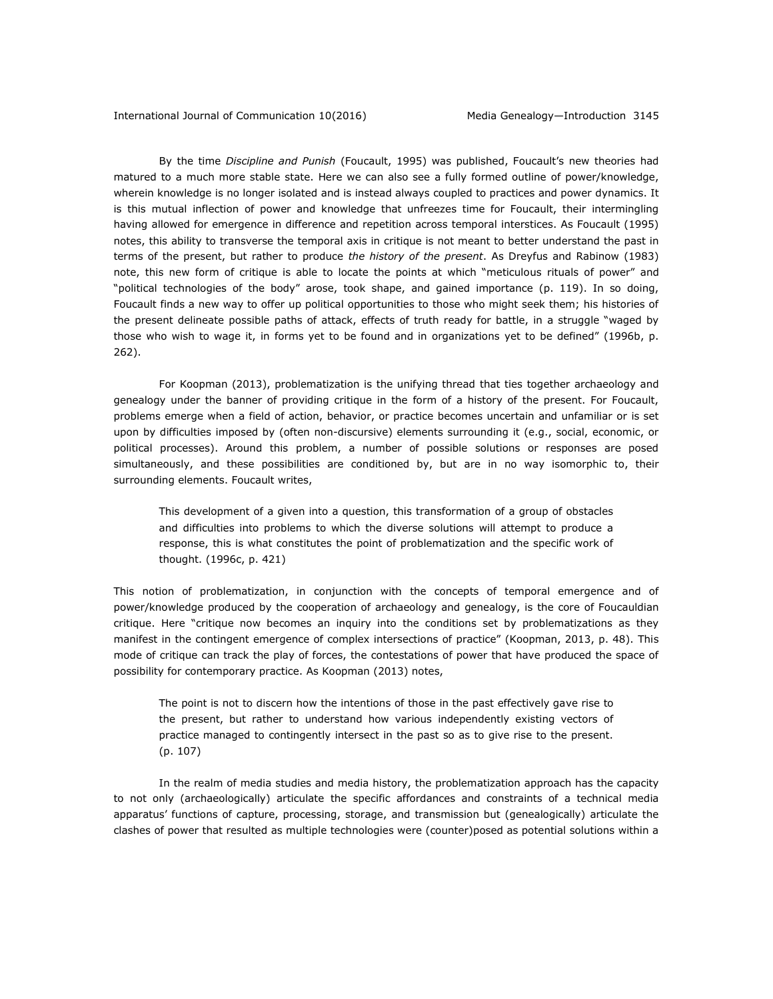By the time *Discipline and Punish* (Foucault, 1995) was published, Foucault's new theories had matured to a much more stable state. Here we can also see a fully formed outline of power/knowledge, wherein knowledge is no longer isolated and is instead always coupled to practices and power dynamics. It is this mutual inflection of power and knowledge that unfreezes time for Foucault, their intermingling having allowed for emergence in difference and repetition across temporal interstices. As Foucault (1995) notes, this ability to transverse the temporal axis in critique is not meant to better understand the past in terms of the present, but rather to produce *the history of the present*. As Dreyfus and Rabinow (1983) note, this new form of critique is able to locate the points at which "meticulous rituals of power" and "political technologies of the body" arose, took shape, and gained importance (p. 119). In so doing, Foucault finds a new way to offer up political opportunities to those who might seek them; his histories of the present delineate possible paths of attack, effects of truth ready for battle, in a struggle "waged by those who wish to wage it, in forms yet to be found and in organizations yet to be defined" (1996b, p. 262).

For Koopman (2013), problematization is the unifying thread that ties together archaeology and genealogy under the banner of providing critique in the form of a history of the present. For Foucault, problems emerge when a field of action, behavior, or practice becomes uncertain and unfamiliar or is set upon by difficulties imposed by (often non-discursive) elements surrounding it (e.g., social, economic, or political processes). Around this problem, a number of possible solutions or responses are posed simultaneously, and these possibilities are conditioned by, but are in no way isomorphic to, their surrounding elements. Foucault writes,

This development of a given into a question, this transformation of a group of obstacles and difficulties into problems to which the diverse solutions will attempt to produce a response, this is what constitutes the point of problematization and the specific work of thought. (1996c, p. 421)

This notion of problematization, in conjunction with the concepts of temporal emergence and of power/knowledge produced by the cooperation of archaeology and genealogy, is the core of Foucauldian critique. Here "critique now becomes an inquiry into the conditions set by problematizations as they manifest in the contingent emergence of complex intersections of practice" (Koopman, 2013, p. 48). This mode of critique can track the play of forces, the contestations of power that have produced the space of possibility for contemporary practice. As Koopman (2013) notes,

The point is not to discern how the intentions of those in the past effectively gave rise to the present, but rather to understand how various independently existing vectors of practice managed to contingently intersect in the past so as to give rise to the present. (p. 107)

In the realm of media studies and media history, the problematization approach has the capacity to not only (archaeologically) articulate the specific affordances and constraints of a technical media apparatus' functions of capture, processing, storage, and transmission but (genealogically) articulate the clashes of power that resulted as multiple technologies were (counter)posed as potential solutions within a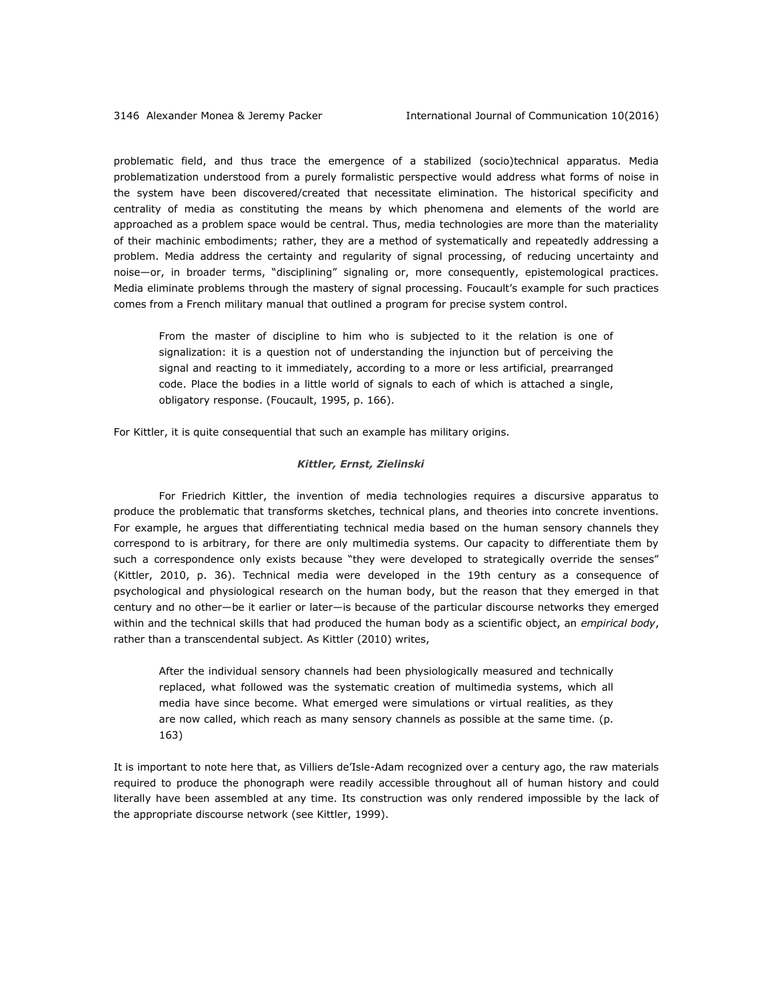problematic field, and thus trace the emergence of a stabilized (socio)technical apparatus. Media problematization understood from a purely formalistic perspective would address what forms of noise in the system have been discovered/created that necessitate elimination. The historical specificity and centrality of media as constituting the means by which phenomena and elements of the world are approached as a problem space would be central. Thus, media technologies are more than the materiality of their machinic embodiments; rather, they are a method of systematically and repeatedly addressing a problem. Media address the certainty and regularity of signal processing, of reducing uncertainty and noise—or, in broader terms, "disciplining" signaling or, more consequently, epistemological practices. Media eliminate problems through the mastery of signal processing. Foucault's example for such practices comes from a French military manual that outlined a program for precise system control.

From the master of discipline to him who is subjected to it the relation is one of signalization: it is a question not of understanding the injunction but of perceiving the signal and reacting to it immediately, according to a more or less artificial, prearranged code. Place the bodies in a little world of signals to each of which is attached a single, obligatory response. (Foucault, 1995, p. 166).

For Kittler, it is quite consequential that such an example has military origins.

### *Kittler, Ernst, Zielinski*

For Friedrich Kittler, the invention of media technologies requires a discursive apparatus to produce the problematic that transforms sketches, technical plans, and theories into concrete inventions. For example, he argues that differentiating technical media based on the human sensory channels they correspond to is arbitrary, for there are only multimedia systems. Our capacity to differentiate them by such a correspondence only exists because "they were developed to strategically override the senses" (Kittler, 2010, p. 36). Technical media were developed in the 19th century as a consequence of psychological and physiological research on the human body, but the reason that they emerged in that century and no other—be it earlier or later—is because of the particular discourse networks they emerged within and the technical skills that had produced the human body as a scientific object, an *empirical body*, rather than a transcendental subject. As Kittler (2010) writes,

After the individual sensory channels had been physiologically measured and technically replaced, what followed was the systematic creation of multimedia systems, which all media have since become. What emerged were simulations or virtual realities, as they are now called, which reach as many sensory channels as possible at the same time. (p. 163)

It is important to note here that, as Villiers de'Isle-Adam recognized over a century ago, the raw materials required to produce the phonograph were readily accessible throughout all of human history and could literally have been assembled at any time. Its construction was only rendered impossible by the lack of the appropriate discourse network (see Kittler, 1999).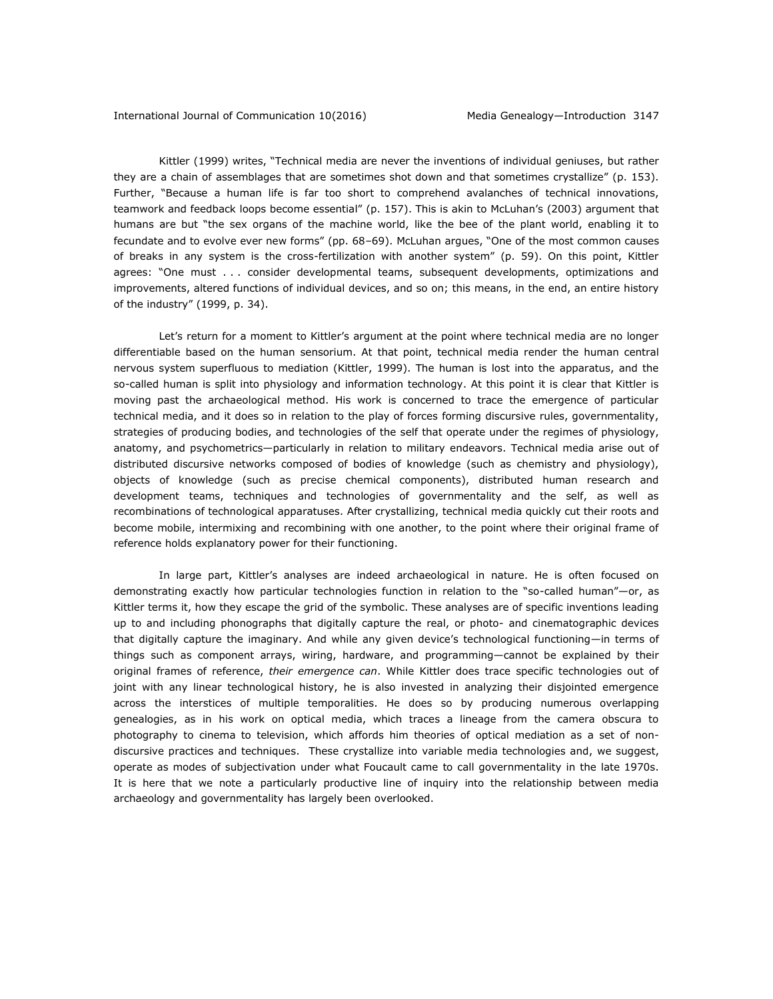Kittler (1999) writes, "Technical media are never the inventions of individual geniuses, but rather they are a chain of assemblages that are sometimes shot down and that sometimes crystallize" (p. 153). Further, "Because a human life is far too short to comprehend avalanches of technical innovations, teamwork and feedback loops become essential" (p. 157). This is akin to McLuhan's (2003) argument that humans are but "the sex organs of the machine world, like the bee of the plant world, enabling it to fecundate and to evolve ever new forms" (pp. 68–69). McLuhan argues, "One of the most common causes of breaks in any system is the cross-fertilization with another system" (p. 59). On this point, Kittler agrees: "One must . . . consider developmental teams, subsequent developments, optimizations and improvements, altered functions of individual devices, and so on; this means, in the end, an entire history of the industry" (1999, p. 34).

Let's return for a moment to Kittler's argument at the point where technical media are no longer differentiable based on the human sensorium. At that point, technical media render the human central nervous system superfluous to mediation (Kittler, 1999). The human is lost into the apparatus, and the so-called human is split into physiology and information technology. At this point it is clear that Kittler is moving past the archaeological method. His work is concerned to trace the emergence of particular technical media, and it does so in relation to the play of forces forming discursive rules, governmentality, strategies of producing bodies, and technologies of the self that operate under the regimes of physiology, anatomy, and psychometrics—particularly in relation to military endeavors. Technical media arise out of distributed discursive networks composed of bodies of knowledge (such as chemistry and physiology), objects of knowledge (such as precise chemical components), distributed human research and development teams, techniques and technologies of governmentality and the self, as well as recombinations of technological apparatuses. After crystallizing, technical media quickly cut their roots and become mobile, intermixing and recombining with one another, to the point where their original frame of reference holds explanatory power for their functioning.

In large part, Kittler's analyses are indeed archaeological in nature. He is often focused on demonstrating exactly how particular technologies function in relation to the "so-called human"—or, as Kittler terms it, how they escape the grid of the symbolic. These analyses are of specific inventions leading up to and including phonographs that digitally capture the real, or photo- and cinematographic devices that digitally capture the imaginary. And while any given device's technological functioning—in terms of things such as component arrays, wiring, hardware, and programming—cannot be explained by their original frames of reference, *their emergence can*. While Kittler does trace specific technologies out of joint with any linear technological history, he is also invested in analyzing their disjointed emergence across the interstices of multiple temporalities. He does so by producing numerous overlapping genealogies, as in his work on optical media, which traces a lineage from the camera obscura to photography to cinema to television, which affords him theories of optical mediation as a set of nondiscursive practices and techniques. These crystallize into variable media technologies and, we suggest, operate as modes of subjectivation under what Foucault came to call governmentality in the late 1970s. It is here that we note a particularly productive line of inquiry into the relationship between media archaeology and governmentality has largely been overlooked.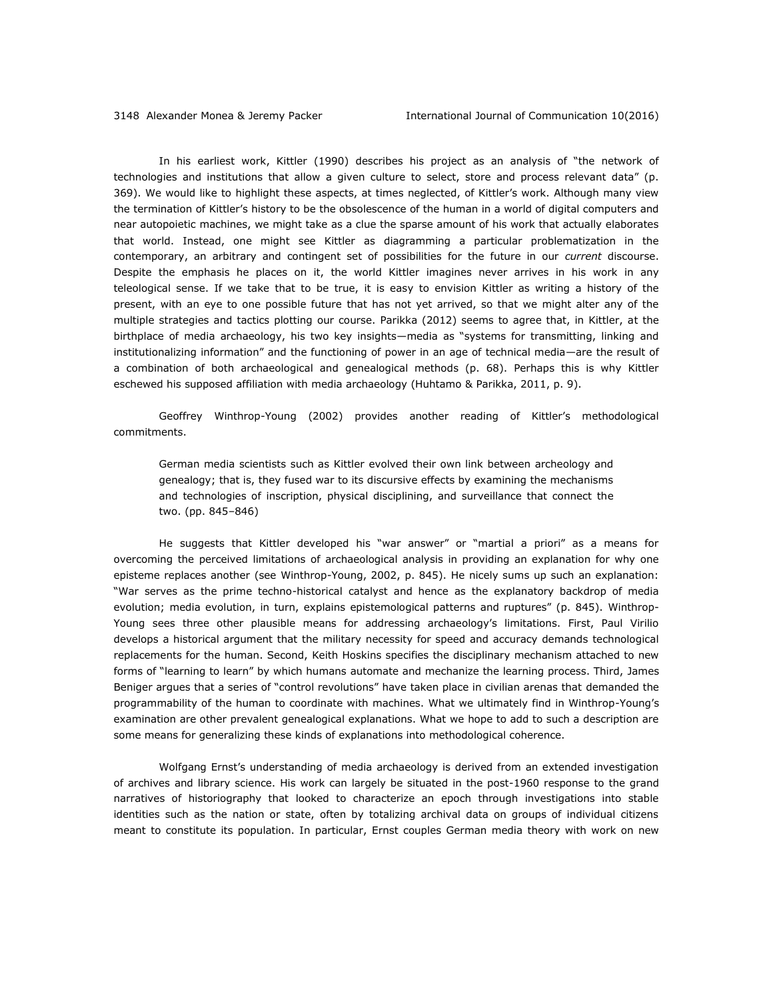In his earliest work, Kittler (1990) describes his project as an analysis of "the network of technologies and institutions that allow a given culture to select, store and process relevant data" (p. 369). We would like to highlight these aspects, at times neglected, of Kittler's work. Although many view the termination of Kittler's history to be the obsolescence of the human in a world of digital computers and near autopoietic machines, we might take as a clue the sparse amount of his work that actually elaborates that world. Instead, one might see Kittler as diagramming a particular problematization in the contemporary, an arbitrary and contingent set of possibilities for the future in our *current* discourse. Despite the emphasis he places on it, the world Kittler imagines never arrives in his work in any teleological sense. If we take that to be true, it is easy to envision Kittler as writing a history of the present, with an eye to one possible future that has not yet arrived, so that we might alter any of the multiple strategies and tactics plotting our course. Parikka (2012) seems to agree that, in Kittler, at the birthplace of media archaeology, his two key insights—media as "systems for transmitting, linking and institutionalizing information" and the functioning of power in an age of technical media—are the result of a combination of both archaeological and genealogical methods (p. 68). Perhaps this is why Kittler eschewed his supposed affiliation with media archaeology (Huhtamo & Parikka, 2011, p. 9).

Geoffrey Winthrop-Young (2002) provides another reading of Kittler's methodological commitments.

German media scientists such as Kittler evolved their own link between archeology and genealogy; that is, they fused war to its discursive effects by examining the mechanisms and technologies of inscription, physical disciplining, and surveillance that connect the two. (pp. 845–846)

He suggests that Kittler developed his "war answer" or "martial a priori" as a means for overcoming the perceived limitations of archaeological analysis in providing an explanation for why one episteme replaces another (see Winthrop-Young, 2002, p. 845). He nicely sums up such an explanation: "War serves as the prime techno-historical catalyst and hence as the explanatory backdrop of media evolution; media evolution, in turn, explains epistemological patterns and ruptures" (p. 845). Winthrop-Young sees three other plausible means for addressing archaeology's limitations. First, Paul Virilio develops a historical argument that the military necessity for speed and accuracy demands technological replacements for the human. Second, Keith Hoskins specifies the disciplinary mechanism attached to new forms of "learning to learn" by which humans automate and mechanize the learning process. Third, James Beniger argues that a series of "control revolutions" have taken place in civilian arenas that demanded the programmability of the human to coordinate with machines. What we ultimately find in Winthrop-Young's examination are other prevalent genealogical explanations. What we hope to add to such a description are some means for generalizing these kinds of explanations into methodological coherence.

Wolfgang Ernst's understanding of media archaeology is derived from an extended investigation of archives and library science. His work can largely be situated in the post-1960 response to the grand narratives of historiography that looked to characterize an epoch through investigations into stable identities such as the nation or state, often by totalizing archival data on groups of individual citizens meant to constitute its population. In particular, Ernst couples German media theory with work on new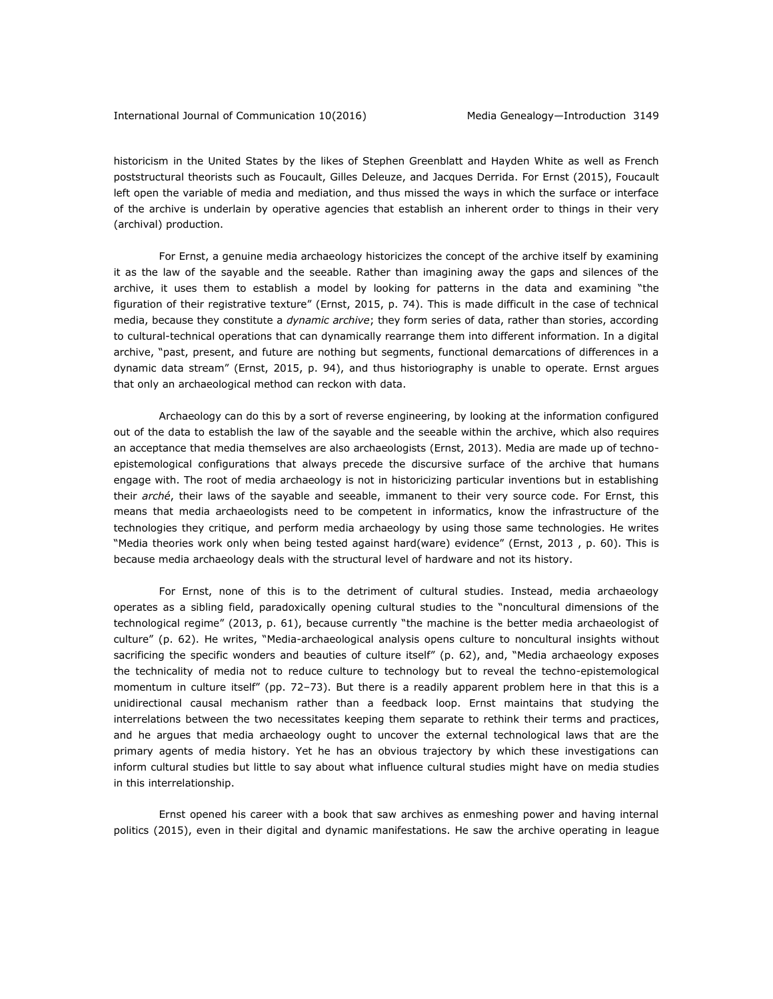historicism in the United States by the likes of Stephen Greenblatt and Hayden White as well as French poststructural theorists such as Foucault, Gilles Deleuze, and Jacques Derrida. For Ernst (2015), Foucault left open the variable of media and mediation, and thus missed the ways in which the surface or interface of the archive is underlain by operative agencies that establish an inherent order to things in their very (archival) production.

For Ernst, a genuine media archaeology historicizes the concept of the archive itself by examining it as the law of the sayable and the seeable. Rather than imagining away the gaps and silences of the archive, it uses them to establish a model by looking for patterns in the data and examining "the figuration of their registrative texture" (Ernst, 2015, p. 74). This is made difficult in the case of technical media, because they constitute a *dynamic archive*; they form series of data, rather than stories, according to cultural-technical operations that can dynamically rearrange them into different information. In a digital archive, "past, present, and future are nothing but segments, functional demarcations of differences in a dynamic data stream" (Ernst, 2015, p. 94), and thus historiography is unable to operate. Ernst argues that only an archaeological method can reckon with data.

Archaeology can do this by a sort of reverse engineering, by looking at the information configured out of the data to establish the law of the sayable and the seeable within the archive, which also requires an acceptance that media themselves are also archaeologists (Ernst, 2013). Media are made up of technoepistemological configurations that always precede the discursive surface of the archive that humans engage with. The root of media archaeology is not in historicizing particular inventions but in establishing their *arché*, their laws of the sayable and seeable, immanent to their very source code. For Ernst, this means that media archaeologists need to be competent in informatics, know the infrastructure of the technologies they critique, and perform media archaeology by using those same technologies. He writes "Media theories work only when being tested against hard(ware) evidence" (Ernst, 2013 , p. 60). This is because media archaeology deals with the structural level of hardware and not its history.

For Ernst, none of this is to the detriment of cultural studies. Instead, media archaeology operates as a sibling field, paradoxically opening cultural studies to the "noncultural dimensions of the technological regime" (2013, p. 61), because currently "the machine is the better media archaeologist of culture" (p. 62). He writes, "Media-archaeological analysis opens culture to noncultural insights without sacrificing the specific wonders and beauties of culture itself" (p. 62), and, "Media archaeology exposes the technicality of media not to reduce culture to technology but to reveal the techno-epistemological momentum in culture itself" (pp. 72–73). But there is a readily apparent problem here in that this is a unidirectional causal mechanism rather than a feedback loop. Ernst maintains that studying the interrelations between the two necessitates keeping them separate to rethink their terms and practices, and he argues that media archaeology ought to uncover the external technological laws that are the primary agents of media history. Yet he has an obvious trajectory by which these investigations can inform cultural studies but little to say about what influence cultural studies might have on media studies in this interrelationship.

Ernst opened his career with a book that saw archives as enmeshing power and having internal politics (2015), even in their digital and dynamic manifestations. He saw the archive operating in league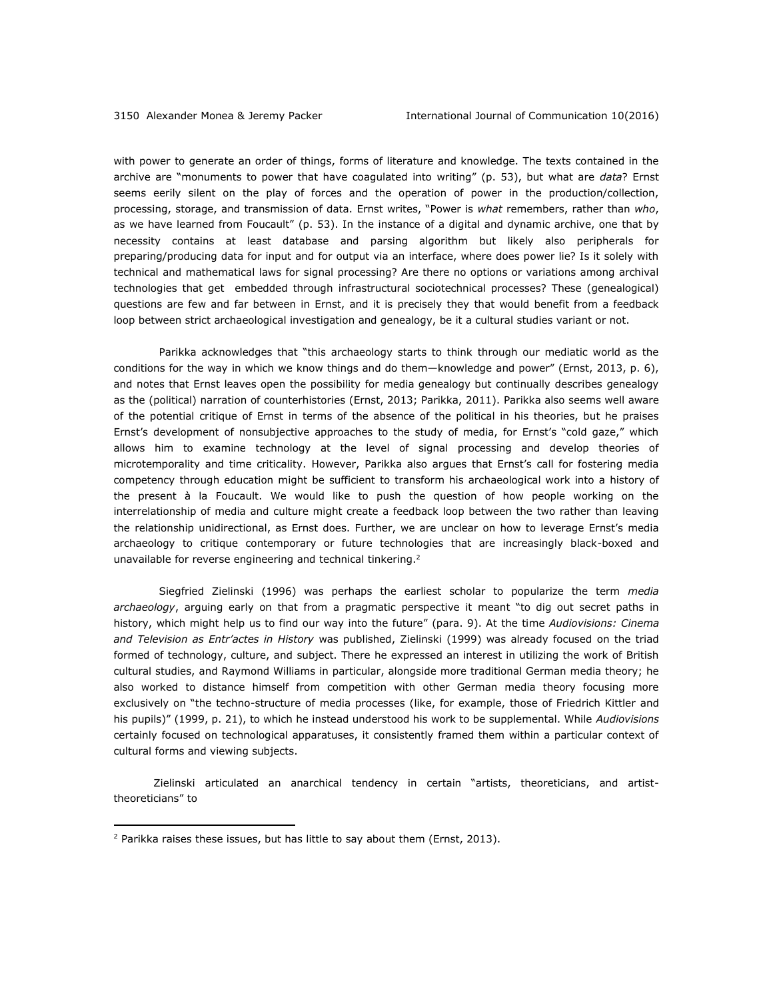with power to generate an order of things, forms of literature and knowledge. The texts contained in the archive are "monuments to power that have coagulated into writing" (p. 53), but what are *data*? Ernst seems eerily silent on the play of forces and the operation of power in the production/collection, processing, storage, and transmission of data. Ernst writes, "Power is *what* remembers, rather than *who*, as we have learned from Foucault" (p. 53). In the instance of a digital and dynamic archive, one that by necessity contains at least database and parsing algorithm but likely also peripherals for preparing/producing data for input and for output via an interface, where does power lie? Is it solely with technical and mathematical laws for signal processing? Are there no options or variations among archival technologies that get embedded through infrastructural sociotechnical processes? These (genealogical) questions are few and far between in Ernst, and it is precisely they that would benefit from a feedback loop between strict archaeological investigation and genealogy, be it a cultural studies variant or not.

Parikka acknowledges that "this archaeology starts to think through our mediatic world as the conditions for the way in which we know things and do them—knowledge and power" (Ernst, 2013, p. 6), and notes that Ernst leaves open the possibility for media genealogy but continually describes genealogy as the (political) narration of counterhistories (Ernst, 2013; Parikka, 2011). Parikka also seems well aware of the potential critique of Ernst in terms of the absence of the political in his theories, but he praises Ernst's development of nonsubjective approaches to the study of media, for Ernst's "cold gaze," which allows him to examine technology at the level of signal processing and develop theories of microtemporality and time criticality. However, Parikka also argues that Ernst's call for fostering media competency through education might be sufficient to transform his archaeological work into a history of the present à la Foucault. We would like to push the question of how people working on the interrelationship of media and culture might create a feedback loop between the two rather than leaving the relationship unidirectional, as Ernst does. Further, we are unclear on how to leverage Ernst's media archaeology to critique contemporary or future technologies that are increasingly black-boxed and unavailable for reverse engineering and technical tinkering.<sup>2</sup>

Siegfried Zielinski (1996) was perhaps the earliest scholar to popularize the term *media archaeology*, arguing early on that from a pragmatic perspective it meant "to dig out secret paths in history, which might help us to find our way into the future" (para. 9). At the time *Audiovisions: Cinema and Television as Entr'actes in History* was published, Zielinski (1999) was already focused on the triad formed of technology, culture, and subject. There he expressed an interest in utilizing the work of British cultural studies, and Raymond Williams in particular, alongside more traditional German media theory; he also worked to distance himself from competition with other German media theory focusing more exclusively on "the techno-structure of media processes (like, for example, those of Friedrich Kittler and his pupils)" (1999, p. 21), to which he instead understood his work to be supplemental. While *Audiovisions* certainly focused on technological apparatuses, it consistently framed them within a particular context of cultural forms and viewing subjects.

Zielinski articulated an anarchical tendency in certain "artists, theoreticians, and artisttheoreticians" to

 $\overline{a}$ 

<sup>&</sup>lt;sup>2</sup> Parikka raises these issues, but has little to say about them (Ernst, 2013).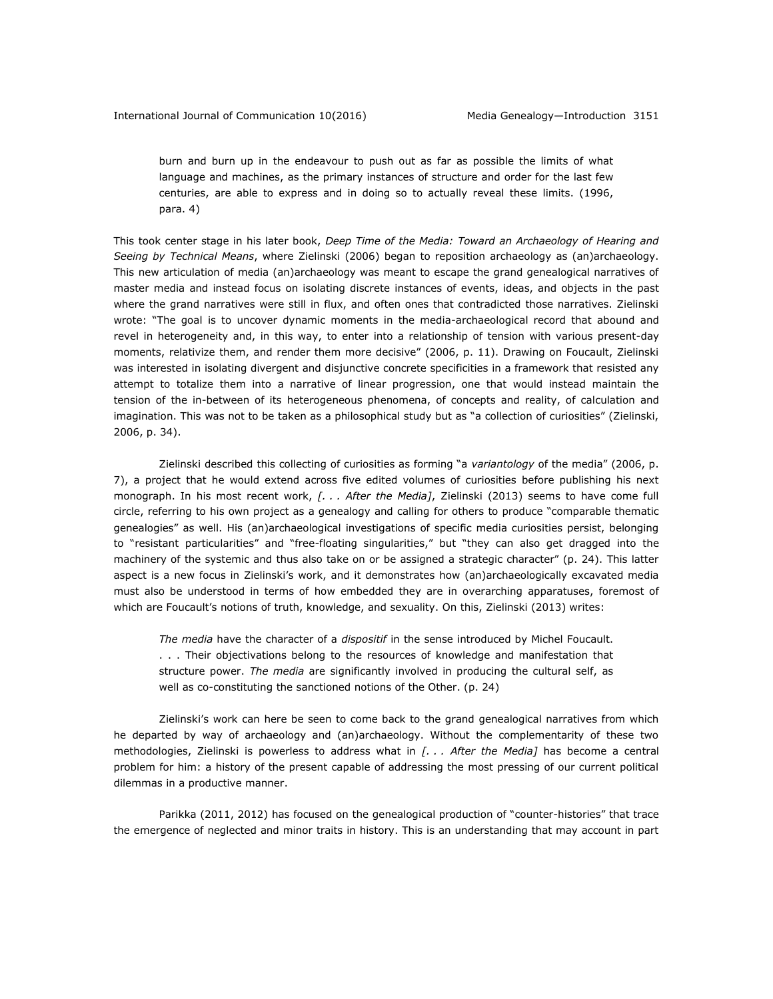burn and burn up in the endeavour to push out as far as possible the limits of what language and machines, as the primary instances of structure and order for the last few centuries, are able to express and in doing so to actually reveal these limits. (1996, para. 4)

This took center stage in his later book, *Deep Time of the Media: Toward an Archaeology of Hearing and Seeing by Technical Means*, where Zielinski (2006) began to reposition archaeology as (an)archaeology. This new articulation of media (an)archaeology was meant to escape the grand genealogical narratives of master media and instead focus on isolating discrete instances of events, ideas, and objects in the past where the grand narratives were still in flux, and often ones that contradicted those narratives. Zielinski wrote: "The goal is to uncover dynamic moments in the media-archaeological record that abound and revel in heterogeneity and, in this way, to enter into a relationship of tension with various present-day moments, relativize them, and render them more decisive" (2006, p. 11). Drawing on Foucault, Zielinski was interested in isolating divergent and disjunctive concrete specificities in a framework that resisted any attempt to totalize them into a narrative of linear progression, one that would instead maintain the tension of the in-between of its heterogeneous phenomena, of concepts and reality, of calculation and imagination. This was not to be taken as a philosophical study but as "a collection of curiosities" (Zielinski, 2006, p. 34).

Zielinski described this collecting of curiosities as forming "a *variantology* of the media" (2006, p. 7), a project that he would extend across five edited volumes of curiosities before publishing his next monograph. In his most recent work, *[. . . After the Media]*, Zielinski (2013) seems to have come full circle, referring to his own project as a genealogy and calling for others to produce "comparable thematic genealogies" as well. His (an)archaeological investigations of specific media curiosities persist, belonging to "resistant particularities" and "free-floating singularities," but "they can also get dragged into the machinery of the systemic and thus also take on or be assigned a strategic character" (p. 24). This latter aspect is a new focus in Zielinski's work, and it demonstrates how (an)archaeologically excavated media must also be understood in terms of how embedded they are in overarching apparatuses, foremost of which are Foucault's notions of truth, knowledge, and sexuality. On this, Zielinski (2013) writes:

*The media* have the character of a *dispositif* in the sense introduced by Michel Foucault. . . . Their objectivations belong to the resources of knowledge and manifestation that structure power. *The media* are significantly involved in producing the cultural self, as well as co-constituting the sanctioned notions of the Other. (p. 24)

Zielinski's work can here be seen to come back to the grand genealogical narratives from which he departed by way of archaeology and (an)archaeology. Without the complementarity of these two methodologies, Zielinski is powerless to address what in *[. . . After the Media]* has become a central problem for him: a history of the present capable of addressing the most pressing of our current political dilemmas in a productive manner.

Parikka (2011, 2012) has focused on the genealogical production of "counter-histories" that trace the emergence of neglected and minor traits in history. This is an understanding that may account in part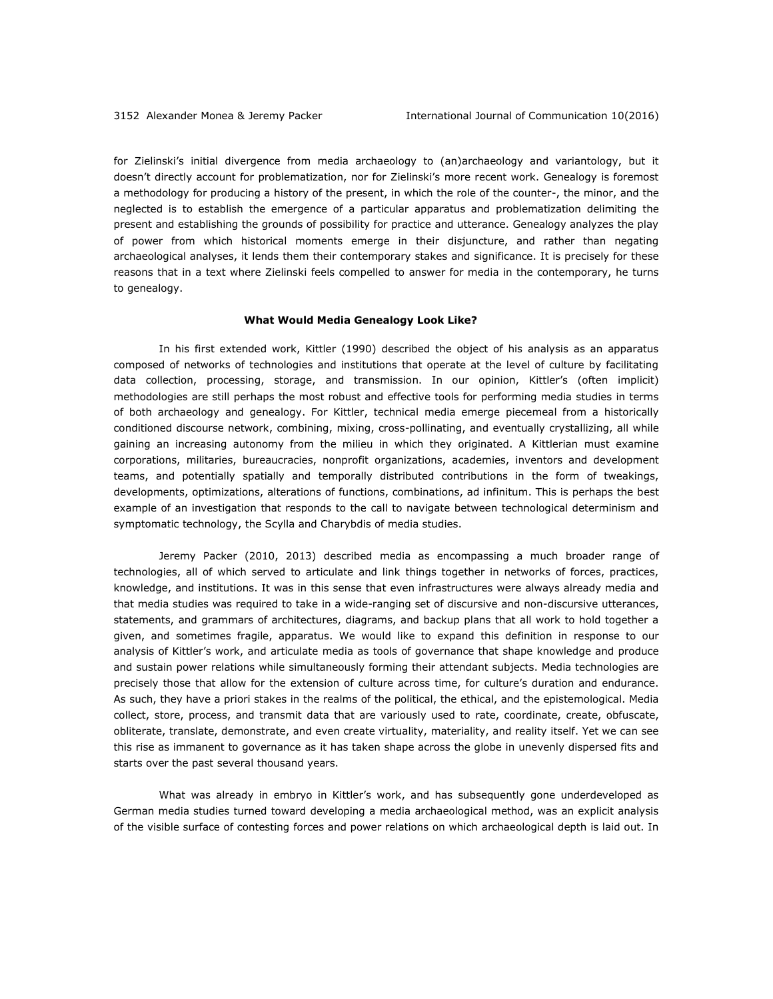for Zielinski's initial divergence from media archaeology to (an)archaeology and variantology, but it doesn't directly account for problematization, nor for Zielinski's more recent work. Genealogy is foremost a methodology for producing a history of the present, in which the role of the counter-, the minor, and the neglected is to establish the emergence of a particular apparatus and problematization delimiting the present and establishing the grounds of possibility for practice and utterance. Genealogy analyzes the play of power from which historical moments emerge in their disjuncture, and rather than negating archaeological analyses, it lends them their contemporary stakes and significance. It is precisely for these reasons that in a text where Zielinski feels compelled to answer for media in the contemporary, he turns to genealogy.

#### **What Would Media Genealogy Look Like?**

In his first extended work, Kittler (1990) described the object of his analysis as an apparatus composed of networks of technologies and institutions that operate at the level of culture by facilitating data collection, processing, storage, and transmission. In our opinion, Kittler's (often implicit) methodologies are still perhaps the most robust and effective tools for performing media studies in terms of both archaeology and genealogy. For Kittler, technical media emerge piecemeal from a historically conditioned discourse network, combining, mixing, cross-pollinating, and eventually crystallizing, all while gaining an increasing autonomy from the milieu in which they originated. A Kittlerian must examine corporations, militaries, bureaucracies, nonprofit organizations, academies, inventors and development teams, and potentially spatially and temporally distributed contributions in the form of tweakings, developments, optimizations, alterations of functions, combinations, ad infinitum. This is perhaps the best example of an investigation that responds to the call to navigate between technological determinism and symptomatic technology, the Scylla and Charybdis of media studies.

Jeremy Packer (2010, 2013) described media as encompassing a much broader range of technologies, all of which served to articulate and link things together in networks of forces, practices, knowledge, and institutions. It was in this sense that even infrastructures were always already media and that media studies was required to take in a wide-ranging set of discursive and non-discursive utterances, statements, and grammars of architectures, diagrams, and backup plans that all work to hold together a given, and sometimes fragile, apparatus. We would like to expand this definition in response to our analysis of Kittler's work, and articulate media as tools of governance that shape knowledge and produce and sustain power relations while simultaneously forming their attendant subjects. Media technologies are precisely those that allow for the extension of culture across time, for culture's duration and endurance. As such, they have a priori stakes in the realms of the political, the ethical, and the epistemological. Media collect, store, process, and transmit data that are variously used to rate, coordinate, create, obfuscate, obliterate, translate, demonstrate, and even create virtuality, materiality, and reality itself. Yet we can see this rise as immanent to governance as it has taken shape across the globe in unevenly dispersed fits and starts over the past several thousand years.

What was already in embryo in Kittler's work, and has subsequently gone underdeveloped as German media studies turned toward developing a media archaeological method, was an explicit analysis of the visible surface of contesting forces and power relations on which archaeological depth is laid out. In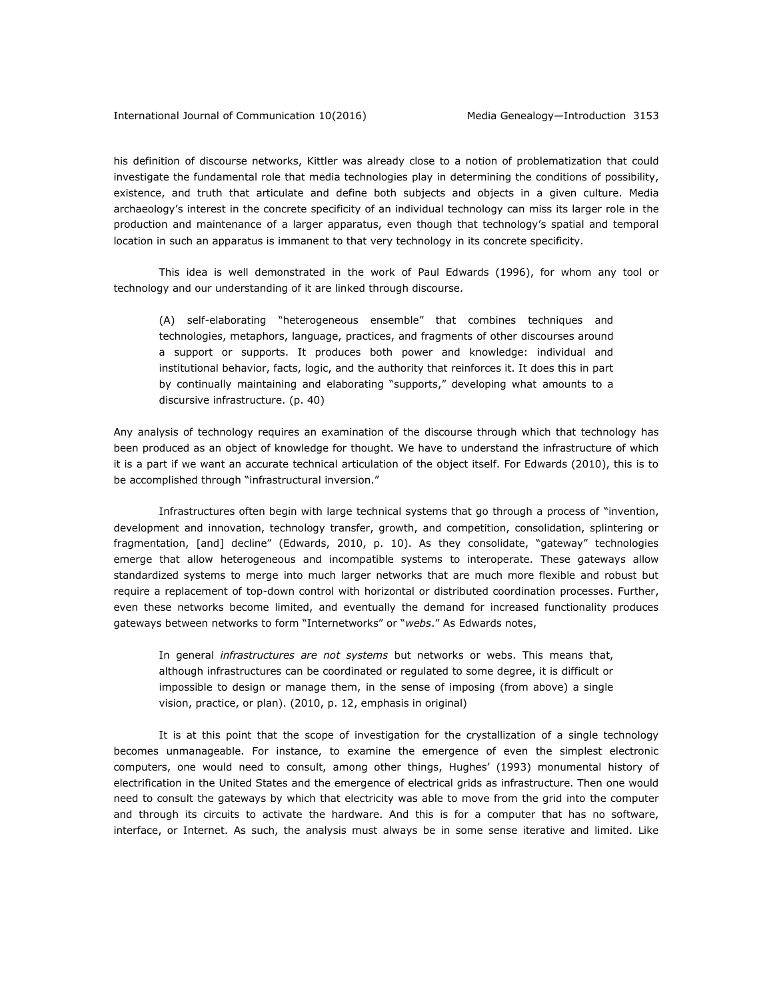his definition of discourse networks, Kittler was already close to a notion of problematization that could investigate the fundamental role that media technologies play in determining the conditions of possibility, existence, and truth that articulate and define both subjects and objects in a given culture. Media archaeology's interest in the concrete specificity of an individual technology can miss its larger role in the production and maintenance of a larger apparatus, even though that technology's spatial and temporal location in such an apparatus is immanent to that very technology in its concrete specificity.

This idea is well demonstrated in the work of Paul Edwards (1996), for whom any tool or technology and our understanding of it are linked through discourse.

(A) self-elaborating "heterogeneous ensemble" that combines techniques and technologies, metaphors, language, practices, and fragments of other discourses around a support or supports. It produces both power and knowledge: individual and institutional behavior, facts, logic, and the authority that reinforces it. It does this in part by continually maintaining and elaborating "supports," developing what amounts to a discursive infrastructure. (p. 40)

Any analysis of technology requires an examination of the discourse through which that technology has been produced as an object of knowledge for thought. We have to understand the infrastructure of which it is a part if we want an accurate technical articulation of the object itself. For Edwards (2010), this is to be accomplished through "infrastructural inversion."

Infrastructures often begin with large technical systems that go through a process of "invention, development and innovation, technology transfer, growth, and competition, consolidation, splintering or fragmentation, [and] decline" (Edwards, 2010, p. 10). As they consolidate, "gateway" technologies emerge that allow heterogeneous and incompatible systems to interoperate. These gateways allow standardized systems to merge into much larger networks that are much more flexible and robust but require a replacement of top-down control with horizontal or distributed coordination processes. Further, even these networks become limited, and eventually the demand for increased functionality produces gateways between networks to form "Internetworks" or "*webs*." As Edwards notes,

In general *infrastructures are not systems* but networks or webs. This means that, although infrastructures can be coordinated or regulated to some degree, it is difficult or impossible to design or manage them, in the sense of imposing (from above) a single vision, practice, or plan). (2010, p. 12, emphasis in original)

It is at this point that the scope of investigation for the crystallization of a single technology becomes unmanageable. For instance, to examine the emergence of even the simplest electronic computers, one would need to consult, among other things, Hughes' (1993) monumental history of electrification in the United States and the emergence of electrical grids as infrastructure. Then one would need to consult the gateways by which that electricity was able to move from the grid into the computer and through its circuits to activate the hardware. And this is for a computer that has no software, interface, or Internet. As such, the analysis must always be in some sense iterative and limited. Like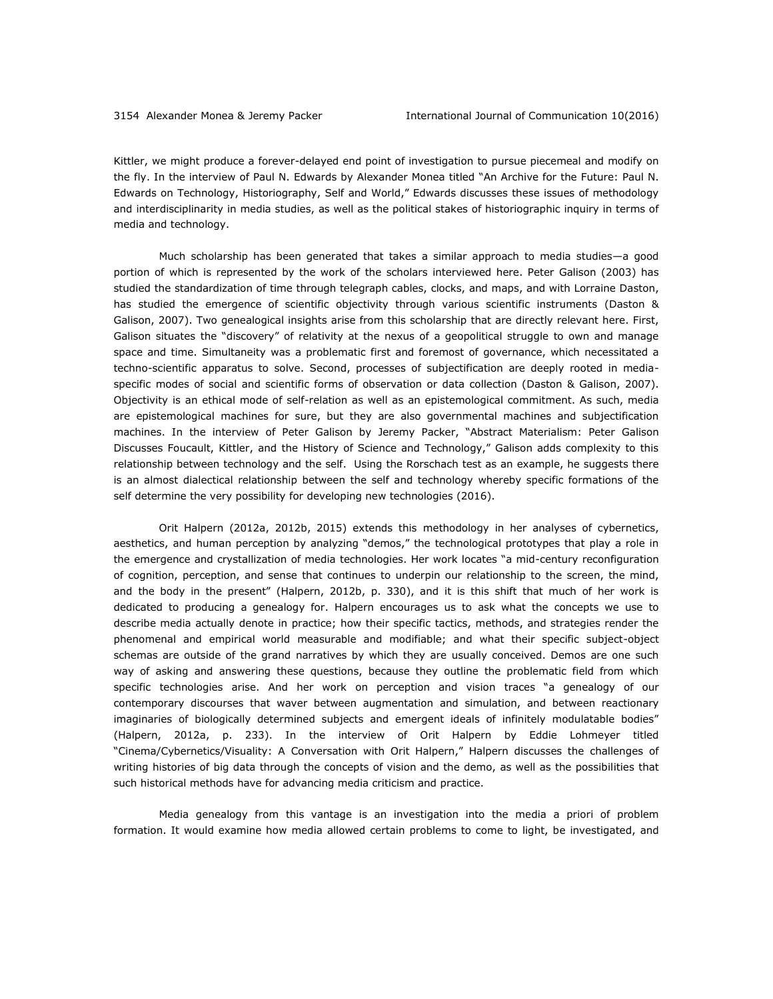Kittler, we might produce a forever-delayed end point of investigation to pursue piecemeal and modify on the fly. In the interview of Paul N. Edwards by Alexander Monea titled "An Archive for the Future: Paul N. Edwards on Technology, Historiography, Self and World," Edwards discusses these issues of methodology and interdisciplinarity in media studies, as well as the political stakes of historiographic inquiry in terms of media and technology.

Much scholarship has been generated that takes a similar approach to media studies—a good portion of which is represented by the work of the scholars interviewed here. Peter Galison (2003) has studied the standardization of time through telegraph cables, clocks, and maps, and with Lorraine Daston, has studied the emergence of scientific objectivity through various scientific instruments (Daston & Galison, 2007). Two genealogical insights arise from this scholarship that are directly relevant here. First, Galison situates the "discovery" of relativity at the nexus of a geopolitical struggle to own and manage space and time. Simultaneity was a problematic first and foremost of governance, which necessitated a techno-scientific apparatus to solve. Second, processes of subjectification are deeply rooted in mediaspecific modes of social and scientific forms of observation or data collection (Daston & Galison, 2007). Objectivity is an ethical mode of self-relation as well as an epistemological commitment. As such, media are epistemological machines for sure, but they are also governmental machines and subjectification machines. In the interview of Peter Galison by Jeremy Packer, "Abstract Materialism: Peter Galison Discusses Foucault, Kittler, and the History of Science and Technology," Galison adds complexity to this relationship between technology and the self. Using the Rorschach test as an example, he suggests there is an almost dialectical relationship between the self and technology whereby specific formations of the self determine the very possibility for developing new technologies (2016).

Orit Halpern (2012a, 2012b, 2015) extends this methodology in her analyses of cybernetics, aesthetics, and human perception by analyzing "demos," the technological prototypes that play a role in the emergence and crystallization of media technologies. Her work locates "a mid-century reconfiguration of cognition, perception, and sense that continues to underpin our relationship to the screen, the mind, and the body in the present" (Halpern, 2012b, p. 330), and it is this shift that much of her work is dedicated to producing a genealogy for. Halpern encourages us to ask what the concepts we use to describe media actually denote in practice; how their specific tactics, methods, and strategies render the phenomenal and empirical world measurable and modifiable; and what their specific subject-object schemas are outside of the grand narratives by which they are usually conceived. Demos are one such way of asking and answering these questions, because they outline the problematic field from which specific technologies arise. And her work on perception and vision traces "a genealogy of our contemporary discourses that waver between augmentation and simulation, and between reactionary imaginaries of biologically determined subjects and emergent ideals of infinitely modulatable bodies" (Halpern, 2012a, p. 233). In the interview of Orit Halpern by Eddie Lohmeyer titled "Cinema/Cybernetics/Visuality: A Conversation with Orit Halpern," Halpern discusses the challenges of writing histories of big data through the concepts of vision and the demo, as well as the possibilities that such historical methods have for advancing media criticism and practice.

Media genealogy from this vantage is an investigation into the media a priori of problem formation. It would examine how media allowed certain problems to come to light, be investigated, and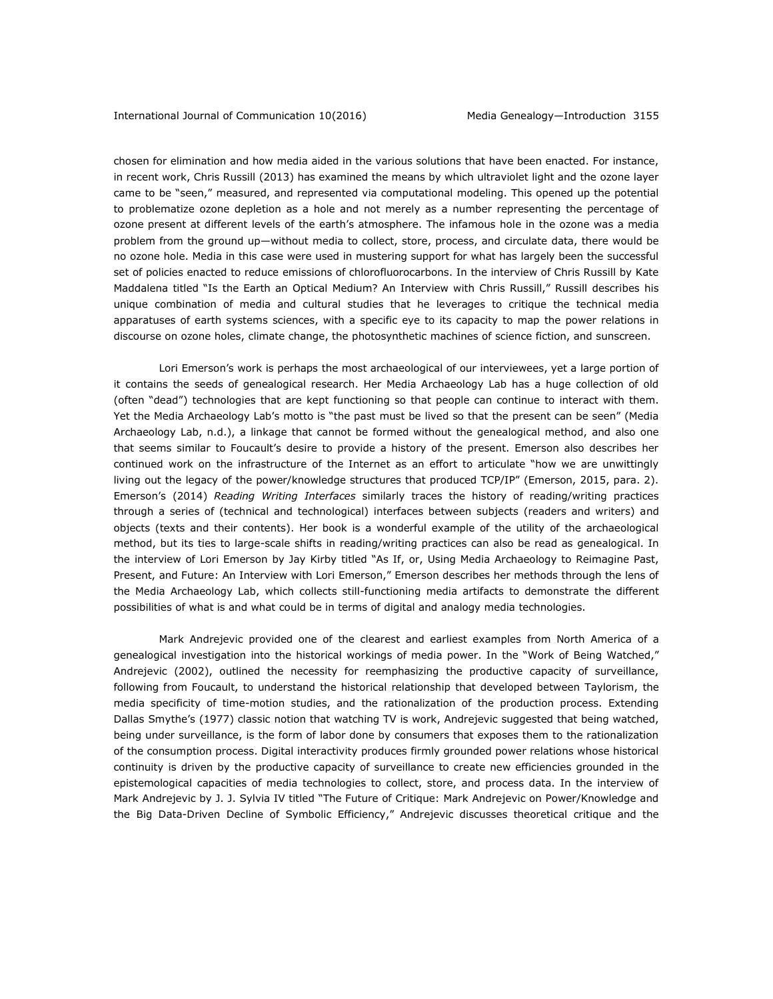chosen for elimination and how media aided in the various solutions that have been enacted. For instance, in recent work, Chris Russill (2013) has examined the means by which ultraviolet light and the ozone layer came to be "seen," measured, and represented via computational modeling. This opened up the potential to problematize ozone depletion as a hole and not merely as a number representing the percentage of ozone present at different levels of the earth's atmosphere. The infamous hole in the ozone was a media problem from the ground up—without media to collect, store, process, and circulate data, there would be no ozone hole. Media in this case were used in mustering support for what has largely been the successful set of policies enacted to reduce emissions of chlorofluorocarbons. In the interview of Chris Russill by Kate Maddalena titled "Is the Earth an Optical Medium? An Interview with Chris Russill," Russill describes his unique combination of media and cultural studies that he leverages to critique the technical media apparatuses of earth systems sciences, with a specific eye to its capacity to map the power relations in discourse on ozone holes, climate change, the photosynthetic machines of science fiction, and sunscreen.

Lori Emerson's work is perhaps the most archaeological of our interviewees, yet a large portion of it contains the seeds of genealogical research. Her Media Archaeology Lab has a huge collection of old (often "dead") technologies that are kept functioning so that people can continue to interact with them. Yet the Media Archaeology Lab's motto is "the past must be lived so that the present can be seen" (Media Archaeology Lab, n.d.), a linkage that cannot be formed without the genealogical method, and also one that seems similar to Foucault's desire to provide a history of the present. Emerson also describes her continued work on the infrastructure of the Internet as an effort to articulate "how we are unwittingly living out the legacy of the power/knowledge structures that produced TCP/IP" (Emerson, 2015, para. 2). Emerson's (2014) *Reading Writing Interfaces* similarly traces the history of reading/writing practices through a series of (technical and technological) interfaces between subjects (readers and writers) and objects (texts and their contents). Her book is a wonderful example of the utility of the archaeological method, but its ties to large-scale shifts in reading/writing practices can also be read as genealogical. In the interview of Lori Emerson by Jay Kirby titled "As If, or, Using Media Archaeology to Reimagine Past, Present, and Future: An Interview with Lori Emerson," Emerson describes her methods through the lens of the Media Archaeology Lab, which collects still-functioning media artifacts to demonstrate the different possibilities of what is and what could be in terms of digital and analogy media technologies.

Mark Andrejevic provided one of the clearest and earliest examples from North America of a genealogical investigation into the historical workings of media power. In the "Work of Being Watched," Andrejevic (2002), outlined the necessity for reemphasizing the productive capacity of surveillance, following from Foucault, to understand the historical relationship that developed between Taylorism, the media specificity of time-motion studies, and the rationalization of the production process. Extending Dallas Smythe's (1977) classic notion that watching TV is work, Andrejevic suggested that being watched, being under surveillance, is the form of labor done by consumers that exposes them to the rationalization of the consumption process. Digital interactivity produces firmly grounded power relations whose historical continuity is driven by the productive capacity of surveillance to create new efficiencies grounded in the epistemological capacities of media technologies to collect, store, and process data. In the interview of Mark Andrejevic by J. J. Sylvia IV titled "The Future of Critique: Mark Andrejevic on Power/Knowledge and the Big Data-Driven Decline of Symbolic Efficiency," Andrejevic discusses theoretical critique and the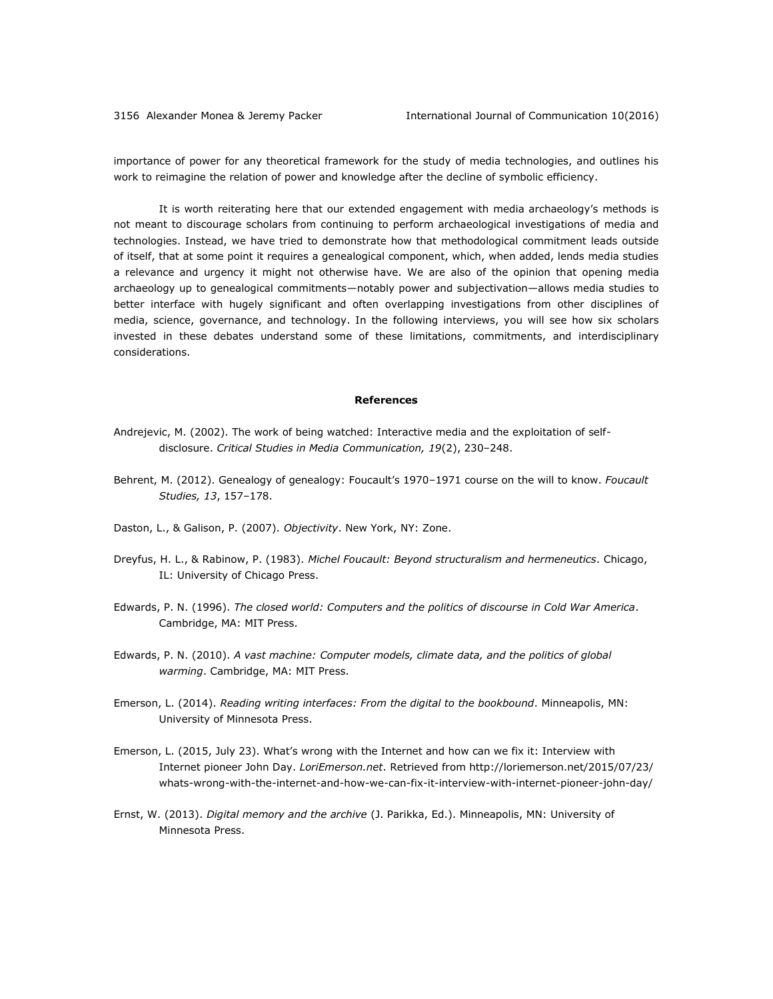importance of power for any theoretical framework for the study of media technologies, and outlines his work to reimagine the relation of power and knowledge after the decline of symbolic efficiency.

It is worth reiterating here that our extended engagement with media archaeology's methods is not meant to discourage scholars from continuing to perform archaeological investigations of media and technologies. Instead, we have tried to demonstrate how that methodological commitment leads outside of itself, that at some point it requires a genealogical component, which, when added, lends media studies a relevance and urgency it might not otherwise have. We are also of the opinion that opening media archaeology up to genealogical commitments—notably power and subjectivation—allows media studies to better interface with hugely significant and often overlapping investigations from other disciplines of media, science, governance, and technology. In the following interviews, you will see how six scholars invested in these debates understand some of these limitations, commitments, and interdisciplinary considerations.

#### **References**

- Andrejevic, M. (2002). The work of being watched: Interactive media and the exploitation of selfdisclosure. *Critical Studies in Media Communication, 19*(2), 230–248.
- Behrent, M. (2012). Genealogy of genealogy: Foucault's 1970–1971 course on the will to know. *Foucault Studies, 13*, 157–178.
- Daston, L., & Galison, P. (2007). *Objectivity*. New York, NY: Zone.
- Dreyfus, H. L., & Rabinow, P. (1983). *Michel Foucault: Beyond structuralism and hermeneutics*. Chicago, IL: University of Chicago Press.
- Edwards, P. N. (1996). *The closed world: Computers and the politics of discourse in Cold War America*. Cambridge, MA: MIT Press.
- Edwards, P. N. (2010). *A vast machine: Computer models, climate data, and the politics of global warming*. Cambridge, MA: MIT Press.
- Emerson, L. (2014). *Reading writing interfaces: From the digital to the bookbound*. Minneapolis, MN: University of Minnesota Press.
- Emerson, L. (2015, July 23). What's wrong with the Internet and how can we fix it: Interview with Internet pioneer John Day. *LoriEmerson.net*. Retrieved fro[m http://loriemerson.net/2015/07/23/](http://loriemerson.net/2015/07/23/%0bwhats-wrong-with-the-internet-and-how-we-can-fix-it-interview-with-internet-pioneer-john-day/) [whats-wrong-with-the-internet-and-how-we-can-fix-it-interview-with-internet-pioneer-john-day/](http://loriemerson.net/2015/07/23/%0bwhats-wrong-with-the-internet-and-how-we-can-fix-it-interview-with-internet-pioneer-john-day/)
- Ernst, W. (2013). *Digital memory and the archive* (J. Parikka, Ed.). Minneapolis, MN: University of Minnesota Press.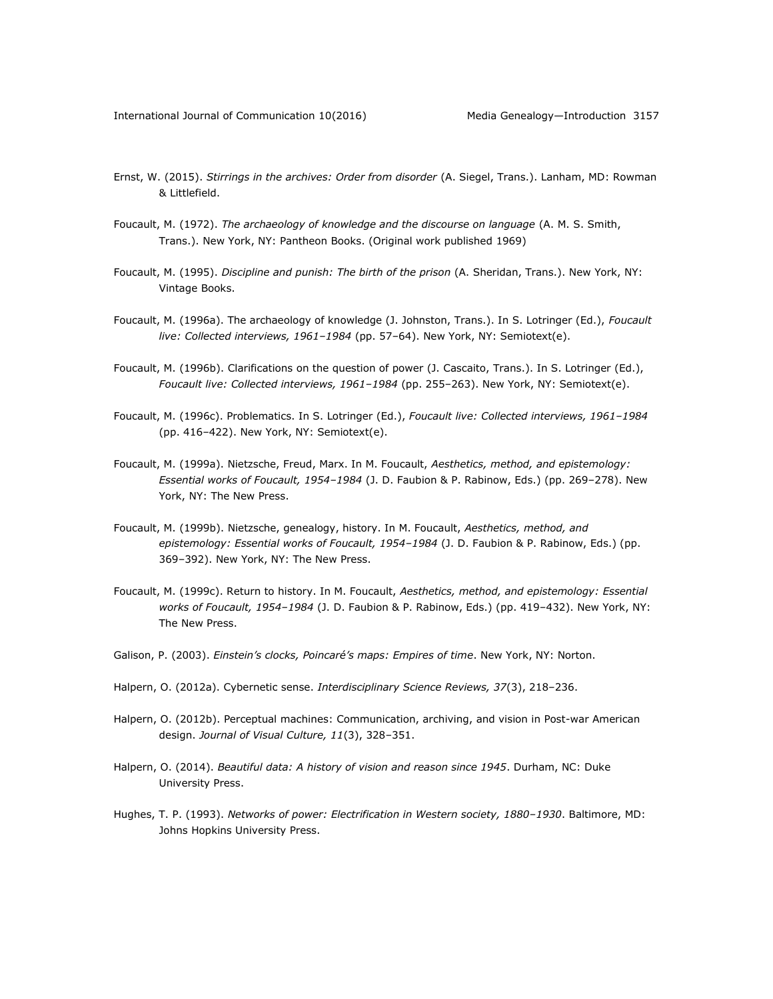- Ernst, W. (2015). *Stirrings in the archives: Order from disorder* (A. Siegel, Trans.). Lanham, MD: Rowman & Littlefield.
- Foucault, M. (1972). *The archaeology of knowledge and the discourse on language* (A. M. S. Smith, Trans.). New York, NY: Pantheon Books. (Original work published 1969)
- Foucault, M. (1995). *Discipline and punish: The birth of the prison* (A. Sheridan, Trans.). New York, NY: Vintage Books.
- Foucault, M. (1996a). The archaeology of knowledge (J. Johnston, Trans.). In S. Lotringer (Ed.), *Foucault live: Collected interviews, 1961–1984* (pp. 57–64). New York, NY: Semiotext(e).
- Foucault, M. (1996b). Clarifications on the question of power (J. Cascaito, Trans.). In S. Lotringer (Ed.), *Foucault live: Collected interviews, 1961–1984* (pp. 255–263). New York, NY: Semiotext(e).
- Foucault, M. (1996c). Problematics. In S. Lotringer (Ed.), *Foucault live: Collected interviews, 1961–1984* (pp. 416–422). New York, NY: Semiotext(e).
- Foucault, M. (1999a). Nietzsche, Freud, Marx. In M. Foucault, *Aesthetics, method, and epistemology: Essential works of Foucault, 1954–1984* (J. D. Faubion & P. Rabinow, Eds.) (pp. 269–278). New York, NY: The New Press.
- Foucault, M. (1999b). Nietzsche, genealogy, history. In M. Foucault, *Aesthetics, method, and epistemology: Essential works of Foucault, 1954–1984* (J. D. Faubion & P. Rabinow, Eds.) (pp. 369–392). New York, NY: The New Press.
- Foucault, M. (1999c). Return to history. In M. Foucault, *Aesthetics, method, and epistemology: Essential works of Foucault, 1954–1984* (J. D. Faubion & P. Rabinow, Eds.) (pp. 419–432). New York, NY: The New Press.
- Galison, P. (2003). *Einstein's clocks, Poincaré's maps: Empires of time*. New York, NY: Norton.
- Halpern, O. (2012a). Cybernetic sense. *Interdisciplinary Science Reviews, 37*(3), 218–236.
- Halpern, O. (2012b). Perceptual machines: Communication, archiving, and vision in Post-war American design. *Journal of Visual Culture, 11*(3), 328–351.
- Halpern, O. (2014). *Beautiful data: A history of vision and reason since 1945*. Durham, NC: Duke University Press.
- Hughes, T. P. (1993). *Networks of power: Electrification in Western society, 1880–1930*. Baltimore, MD: Johns Hopkins University Press.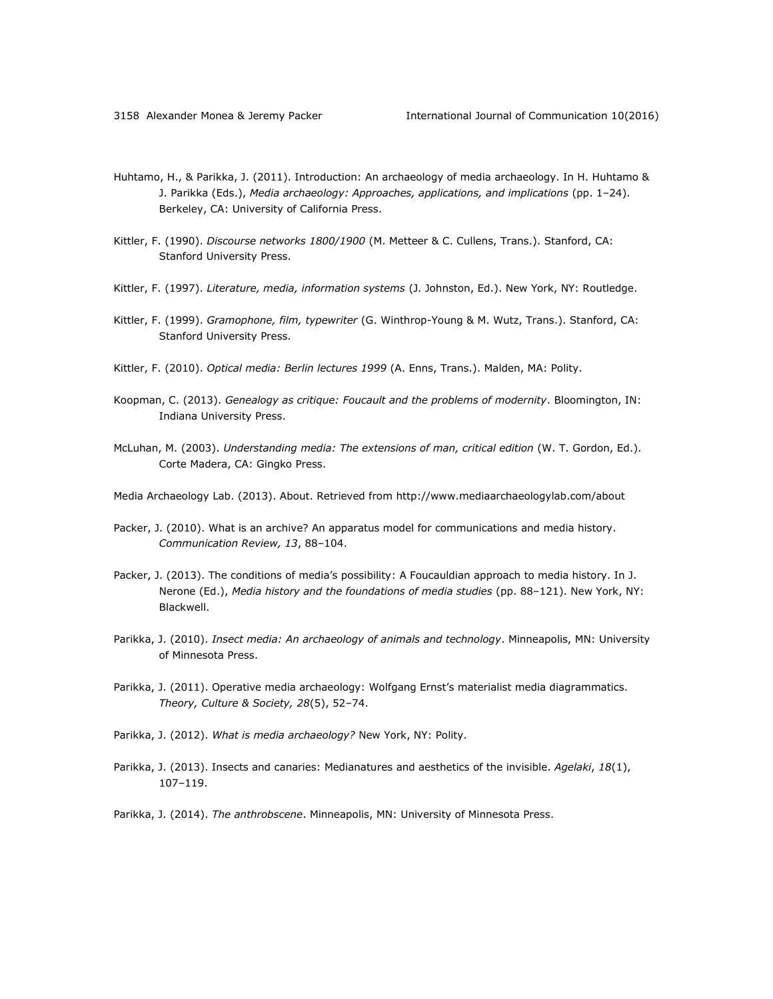- Huhtamo, H., & Parikka, J. (2011). Introduction: An archaeology of media archaeology. In H. Huhtamo & J. Parikka (Eds.), *Media archaeology: Approaches, applications, and implications* (pp. 1–24). Berkeley, CA: University of California Press.
- Kittler, F. (1990). *Discourse networks 1800/1900* (M. Metteer & C. Cullens, Trans.). Stanford, CA: Stanford University Press.
- Kittler, F. (1997). *Literature, media, information systems* (J. Johnston, Ed.). New York, NY: Routledge.
- Kittler, F. (1999). *Gramophone, film, typewriter* (G. Winthrop-Young & M. Wutz, Trans.). Stanford, CA: Stanford University Press.
- Kittler, F. (2010). *Optical media: Berlin lectures 1999* (A. Enns, Trans.). Malden, MA: Polity.
- Koopman, C. (2013). *Genealogy as critique: Foucault and the problems of modernity*. Bloomington, IN: Indiana University Press.
- McLuhan, M. (2003). *Understanding media: The extensions of man, critical edition* (W. T. Gordon, Ed.). Corte Madera, CA: Gingko Press.
- Media Archaeology Lab. (2013). About. Retrieved from<http://www.mediaarchaeologylab.com/about>
- Packer, J. (2010). What is an archive? An apparatus model for communications and media history. *Communication Review, 13*, 88–104.
- Packer, J. (2013). The conditions of media's possibility: A Foucauldian approach to media history. In J. Nerone (Ed.), *Media history and the foundations of media studies* (pp. 88–121). New York, NY: Blackwell.
- Parikka, J. (2010). *Insect media: An archaeology of animals and technology*. Minneapolis, MN: University of Minnesota Press.
- Parikka, J. (2011). Operative media archaeology: Wolfgang Ernst's materialist media diagrammatics. *Theory, Culture & Society, 28*(5), 52–74.
- Parikka, J. (2012). *What is media archaeology?* New York, NY: Polity.
- Parikka, J. (2013). Insects and canaries: Medianatures and aesthetics of the invisible. *Agelaki*, *18*(1), 107–119.
- Parikka, J. (2014). *The anthrobscene*. Minneapolis, MN: University of Minnesota Press.